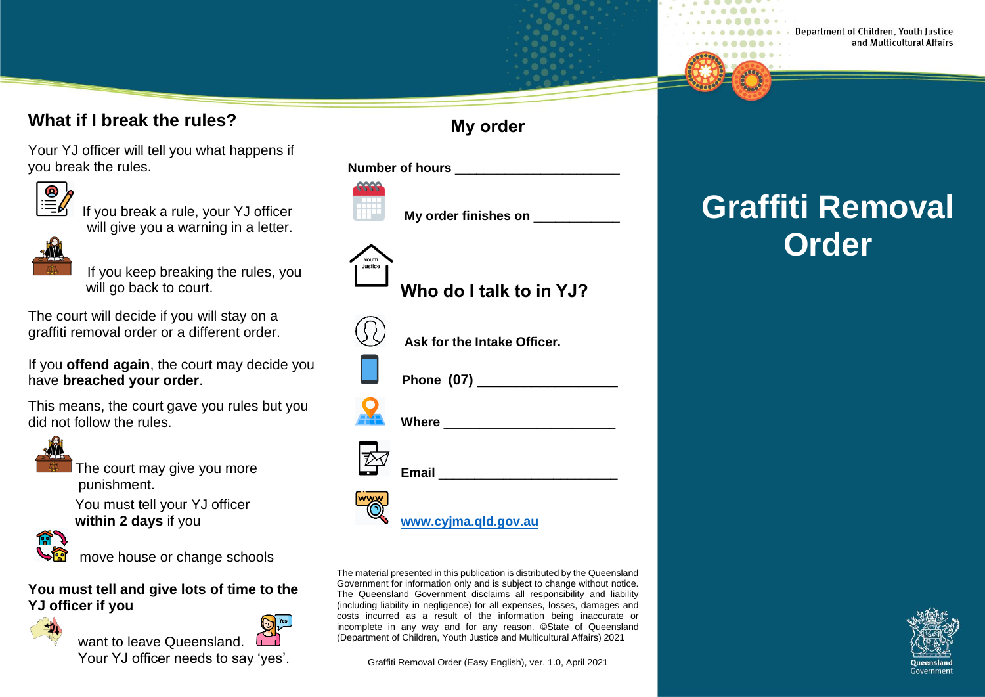#### **What if I break the rules?**

Your YJ officer will tell you what happens if you break the rules.



 $\overline{\mathbf{B}}$  If you break a rule, your YJ officer will give you a warning in a letter.



 If you keep breaking the rules, you will go back to court.

The court will decide if you will stay on a graffiti removal order or a different order.

If you **offend again**, the court may decide you have **breached your order**.

This means, the court gave you rules but you did not follow the rules.



The court may give you more punishment.

 You must tell your YJ officer **within 2 days** if you



move house or change schools

#### **You must tell and give lots of time to the YJ officer if you**



want to leave Queensland

Your YJ officer needs to say 'yes'.

#### **My order**

**Number of hours Number of hours** 



Youth

**My order finishes on** 

# **Who do I talk to in YJ?**



**Ask for the Intake Officer.**



**Phone (07)** \_\_\_\_\_\_\_\_\_\_\_\_\_\_\_\_\_\_

**Where**  $\blacksquare$ 



**[www.cyjma.qld.gov.au](http://www.cyjma.qld.gov.au/)**

The material presented in this publication is distributed by the Queensland Government for information only and is subject to change without notice. The Queensland Government disclaims all responsibility and liability (including liability in negligence) for all expenses, losses, damages and costs incurred as a result of the information being inaccurate or incomplete in any way and for any reason. ©State of Queensland (Department of Children, Youth Justice and Multicultural Affairs) 2021

Graffiti Removal Order (Easy English), ver. 1.0, April 2021

## **Graffiti Removal Order**